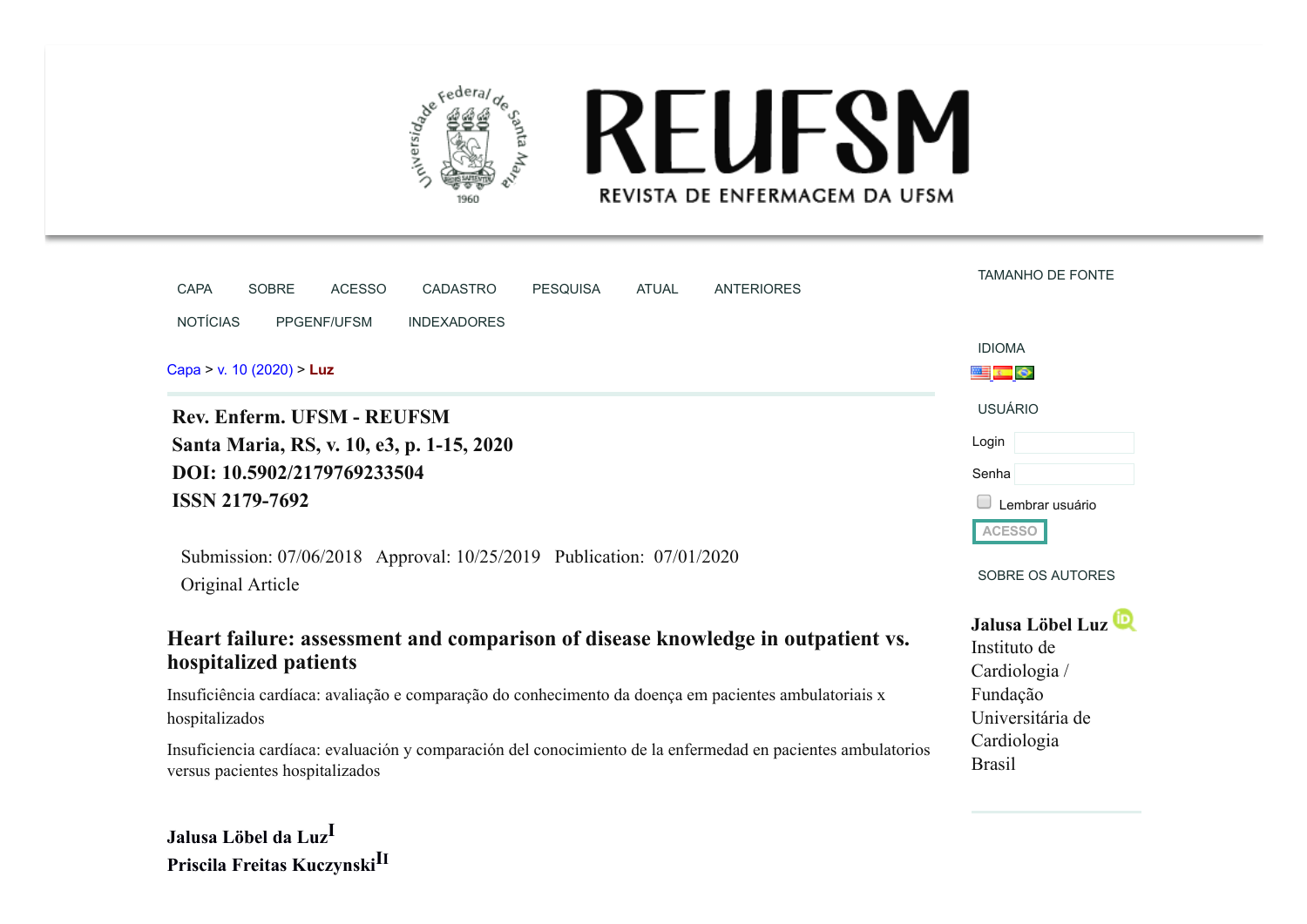

# **REUFSM** REVISTA DE ENFERMAGEM DA UFSM

| <b>CAPA</b><br><b>SOBRE</b><br><b>ACESSO</b>                                                                            | <b>CADASTRO</b><br><b>PESQUISA</b> | <b>ATUAL</b> | <b>ANTERIORES</b>                                                                                            | <b>TAMANHO DE FONTE</b>                           |
|-------------------------------------------------------------------------------------------------------------------------|------------------------------------|--------------|--------------------------------------------------------------------------------------------------------------|---------------------------------------------------|
| <b>NOTÍCIAS</b><br>PPGENF/UFSM                                                                                          | <b>INDEXADORES</b>                 |              |                                                                                                              |                                                   |
|                                                                                                                         |                                    |              |                                                                                                              | <b>IDIOMA</b>                                     |
| Capa > v. 10 (2020) > Luz                                                                                               |                                    |              |                                                                                                              | <b>Electron</b>                                   |
| Rev. Enferm. UFSM - REUFSM                                                                                              |                                    |              |                                                                                                              | <b>USUÁRIO</b>                                    |
| Santa Maria, RS, v. 10, e3, p. 1-15, 2020                                                                               |                                    |              |                                                                                                              | Login                                             |
| DOI: 10.5902/2179769233504                                                                                              |                                    |              |                                                                                                              | Senha                                             |
| <b>ISSN 2179-7692</b>                                                                                                   |                                    |              |                                                                                                              | Lembrar usuário                                   |
|                                                                                                                         |                                    |              |                                                                                                              | <b>ACESSO</b>                                     |
| Submission: 07/06/2018 Approval: 10/25/2019 Publication: 07/01/2020<br>Original Article                                 |                                    |              |                                                                                                              | SOBRE OS AUTORES                                  |
| Heart failure: assessment and comparison of disease knowledge in outpatient vs.<br>hospitalized patients                |                                    |              |                                                                                                              | Jalusa Löbel Luz<br>Instituto de<br>Cardiologia / |
| Insuficiência cardíaca: avaliação e comparação do conhecimento da doença em pacientes ambulatoriais x<br>hospitalizados |                                    |              |                                                                                                              | Fundação<br>Universitária de                      |
| versus pacientes hospitalizados                                                                                         |                                    |              | Insuficiencia cardíaca: evaluación y comparación del conocimiento de la enfermedad en pacientes ambulatorios | Cardiologia<br><b>Brasil</b>                      |
|                                                                                                                         |                                    |              |                                                                                                              |                                                   |

**Jalusa Löbel da LuzI Priscila Freitas KuczynskiI<sup>I</sup>**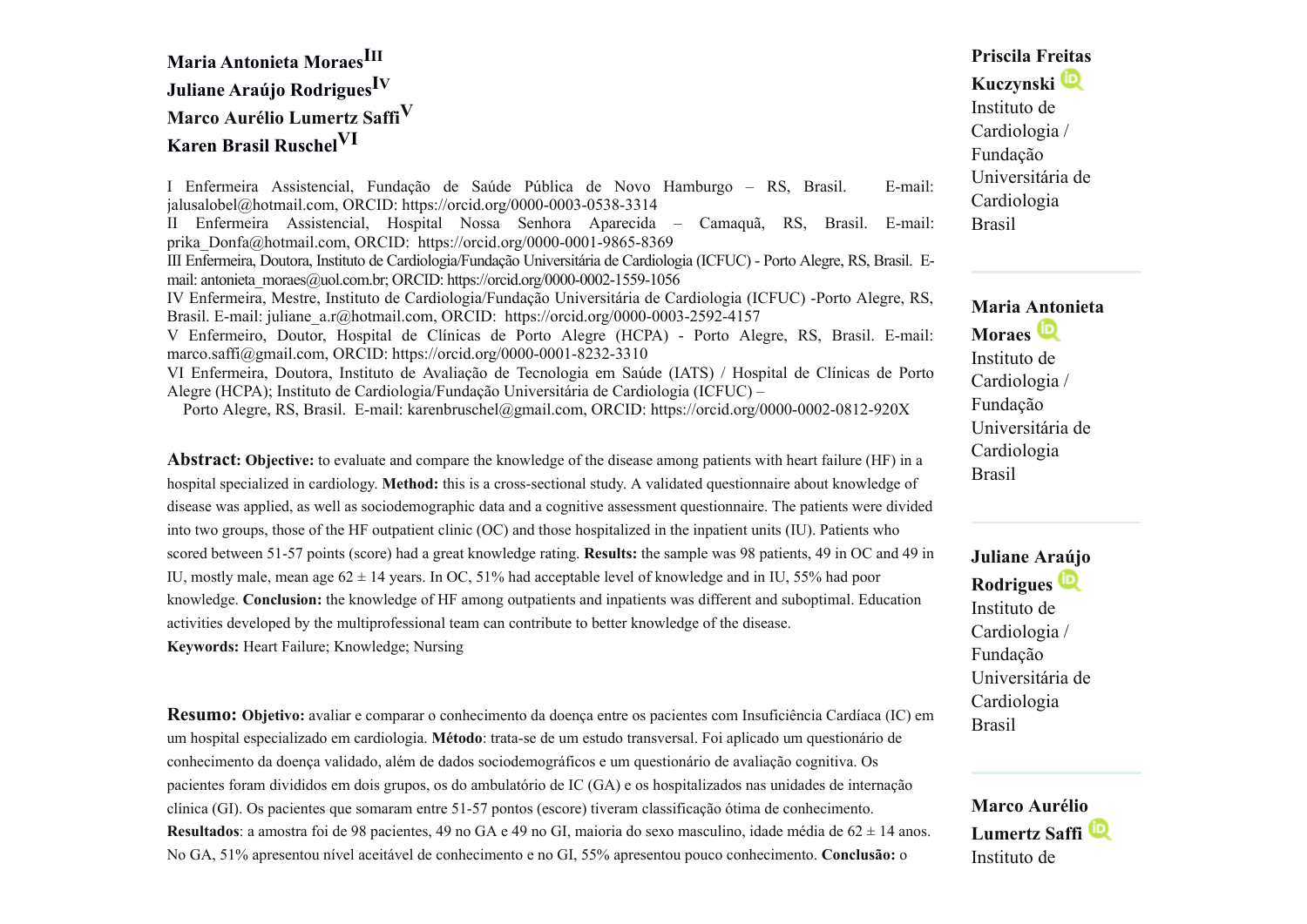# **Maria Antonieta MoraesIII Juliane Araújo RodriguesI<sup>V</sup> Marco Aurélio Lumertz SaffiV Karen Brasil RuschelVI**

I Enfermeira Assistencial, Fundação de Saúde Pública de Novo Hamburgo – RS, Brasil. E-mail: jalusalobel@hotmail.com, ORCID: https://orcid.org/0000-0003-0538-3314 II Enfermeira Assistencial, Hospital Nossa Senhora Aparecida – Camaquã, RS, Brasil. E-mail: prika\_Donfa@hotmail.com, ORCID: https://orcid.org/0000-0001-9865-8369 III Enfermeira, Doutora, Instituto de Cardiologia/Fundação Universitária de Cardiologia (ICFUC) - Porto Alegre, RS, Brasil. Email: antonieta\_moraes@uol.com.br; ORCID: https://orcid.org/0000-0002-1559-1056 IV Enfermeira, Mestre, Instituto de Cardiologia/Fundação Universitária de Cardiologia (ICFUC) -Porto Alegre, RS, Brasil. E-mail: juliane\_a.r@hotmail.com, ORCID: https://orcid.org/0000-0003-2592-4157 V Enfermeiro, Doutor, Hospital de Clínicas de Porto Alegre (HCPA) - Porto Alegre, RS, Brasil. E-mail: marco.saffi@gmail.com, ORCID: https://orcid.org/0000-0001-8232-3310 VI Enfermeira, Doutora, Instituto de Avaliação de Tecnologia em Saúde (IATS) / Hospital de Clínicas de Porto Alegre (HCPA); Instituto de Cardiologia/Fundação Universitária de Cardiologia (ICFUC) –

Porto Alegre, RS, Brasil. E-mail: karenbruschel@gmail.com, ORCID: https://orcid.org/0000-0002-0812-920X

**Abstract: Objective:** to evaluate and compare the knowledge of the disease among patients with heart failure (HF) in a hospital specialized in cardiology. **Method:** this is a cross-sectional study. A validated questionnaire about knowledge of disease was applied, as well as sociodemographic data and a cognitive assessment questionnaire. The patients were divided into two groups, those of the HF outpatient clinic (OC) and those hospitalized in the inpatient units (IU). Patients who scored between 51-57 points (score) had a great knowledge rating. **Results:** the sample was 98 patients, 49 in OC and 49 in IU, mostly male, mean age  $62 \pm 14$  years. In OC, 51% had acceptable level of knowledge and in IU, 55% had poor knowledge. **Conclusion:** the knowledge of HF among outpatients and inpatients was different and suboptimal. Education activities developed by the multiprofessional team can contribute to better knowledge of the disease.

**Keywords:** Heart Failure; Knowledge; Nursing

**Resumo: Objetivo:** avaliar e comparar o conhecimento da doença entre os pacientes com Insuficiência Cardíaca (IC) em um hospital especializado em cardiologia. **Método**: trata-se de um estudo transversal. Foi aplicado um questionário de conhecimento da doença validado, além de dados sociodemográficos e um questionário de avaliação cognitiva. Os pacientes foram divididos em dois grupos, os do ambulatório de IC (GA) e os hospitalizados nas unidades de internação clínica (GI). Os pacientes que somaram entre 51-57 pontos (escore) tiveram classificação ótima de conhecimento. **Resultados**: a amostra foi de 98 pacientes, 49 no GA e 49 no GI, maioria do sexo masculino, idade média de 62 ± 14 anos. No GA, 51% apresentou nível aceitável de conhecimento e no GI, 55% apresentou pouco conhecimento. **Conclusão:** o

# **Priscila Freitas Kuczynski** Instituto de Cardiologia / Fundação Universitária de Cardiologia Brasil

#### **Maria Antonieta**

**Moraes** Instituto de Cardiologia / Fundação Universitária de Cardiologia Brasil

**Juliane Araújo Rodrigues** Instituto de Cardiologia / Fundação Universitária de Cardiologia Brasil

**Marco Aurélio Lumertz Saffi** Instituto de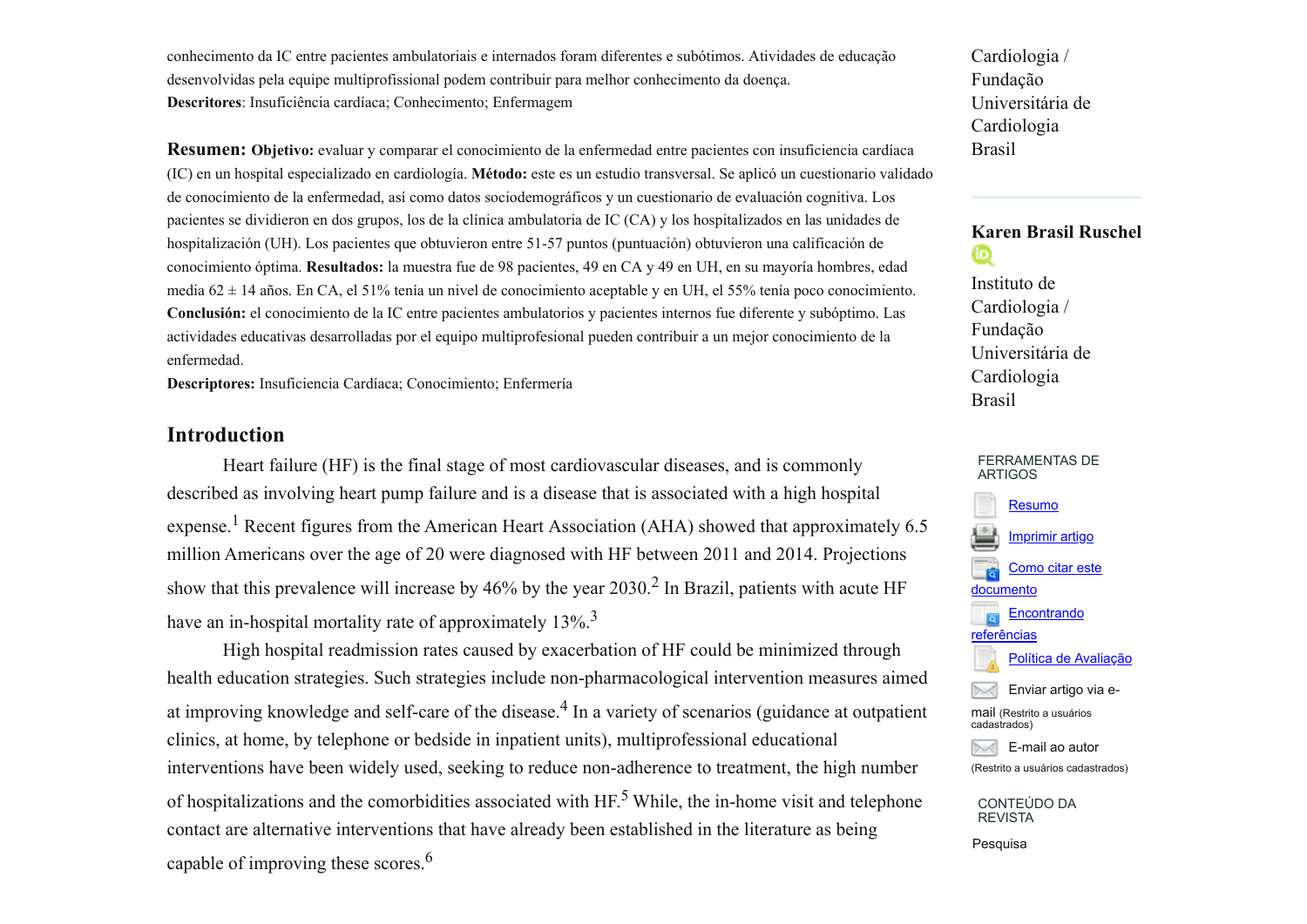conhecimento da IC entre pacientes ambulatoriais e internados foram diferentes e subótimos. Atividades de educação desenvolvidas pela equipe multiprofissional podem contribuir para melhor conhecimento da doença. **Descritores**: Insuficiência cardíaca; Conhecimento; Enfermagem

**Resumen: Objetivo:** evaluar y comparar el conocimiento de la enfermedad entre pacientes con insuficiencia cardíaca (IC) en un hospital especializado en cardiología. **Método:** este es un estudio transversal. Se aplicó un cuestionario validado de conocimiento de la enfermedad, así como datos sociodemográficos y un cuestionario de evaluación cognitiva. Los pacientes se dividieron en dos grupos, los de la clínica ambulatoria de IC (CA) y los hospitalizados en las unidades de hospitalización (UH). Los pacientes que obtuvieron entre 51-57 puntos (puntuación) obtuvieron una calificación de conocimiento óptima. **Resultados:** la muestra fue de 98 pacientes, 49 en CA y 49 en UH, en su mayoría hombres, edad media 62 ± 14 años. En CA, el 51% tenía un nivel de conocimiento aceptable y en UH, el 55% tenía poco conocimiento. **Conclusión:** el conocimiento de la IC entre pacientes ambulatorios y pacientes internos fue diferente y subóptimo. Las actividades educativas desarrolladas por el equipo multiprofesional pueden contribuir a un mejor conocimiento de la enfermedad.

**Descriptores:** Insuficiencia Cardíaca; Conocimiento; Enfermería

## **Introduction**

 Heart failure (HF) is the final stage of most cardiovascular diseases, and is commonly described as involving heart pump failure and is a disease that is associated with a high hospital expense.<sup>1</sup> Recent figures from the American Heart Association (AHA) showed that approximately 6.5 million Americans over the age of 20 were diagnosed with HF between 2011 and 2014. Projections show that this prevalence will increase by 46% by the year  $2030$ .<sup>2</sup> In Brazil, patients with acute HF have an in-hospital mortality rate of approximately 13%.<sup>3</sup>

 High hospital readmission rates caused by exacerbation of HF could be minimized through health education strategies. Such strategies include non-pharmacological intervention measures aimed at improving knowledge and self-care of the disease.<sup>4</sup> In a variety of scenarios (guidance at outpatient clinics, at home, by telephone or bedside in inpatient units), multiprofessional educational interventions have been widely used, seeking to reduce non-adherence to treatment, the high number of hospitalizations and the comorbidities associated with HF.<sup>5</sup> While, the in-home visit and telephone contact are alternative interventions that have already been established in the literature as being capable of improving these scores.<sup>6</sup>

Cardiologia / Fundação Universitária de Cardiologia Brasil

#### **Karen Brasil Ruschel** ®

Instituto de Cardiologia / Fundação Universitária de Cardiologia Brasil



CONTEÚDO DA REVISTA

Pesquisa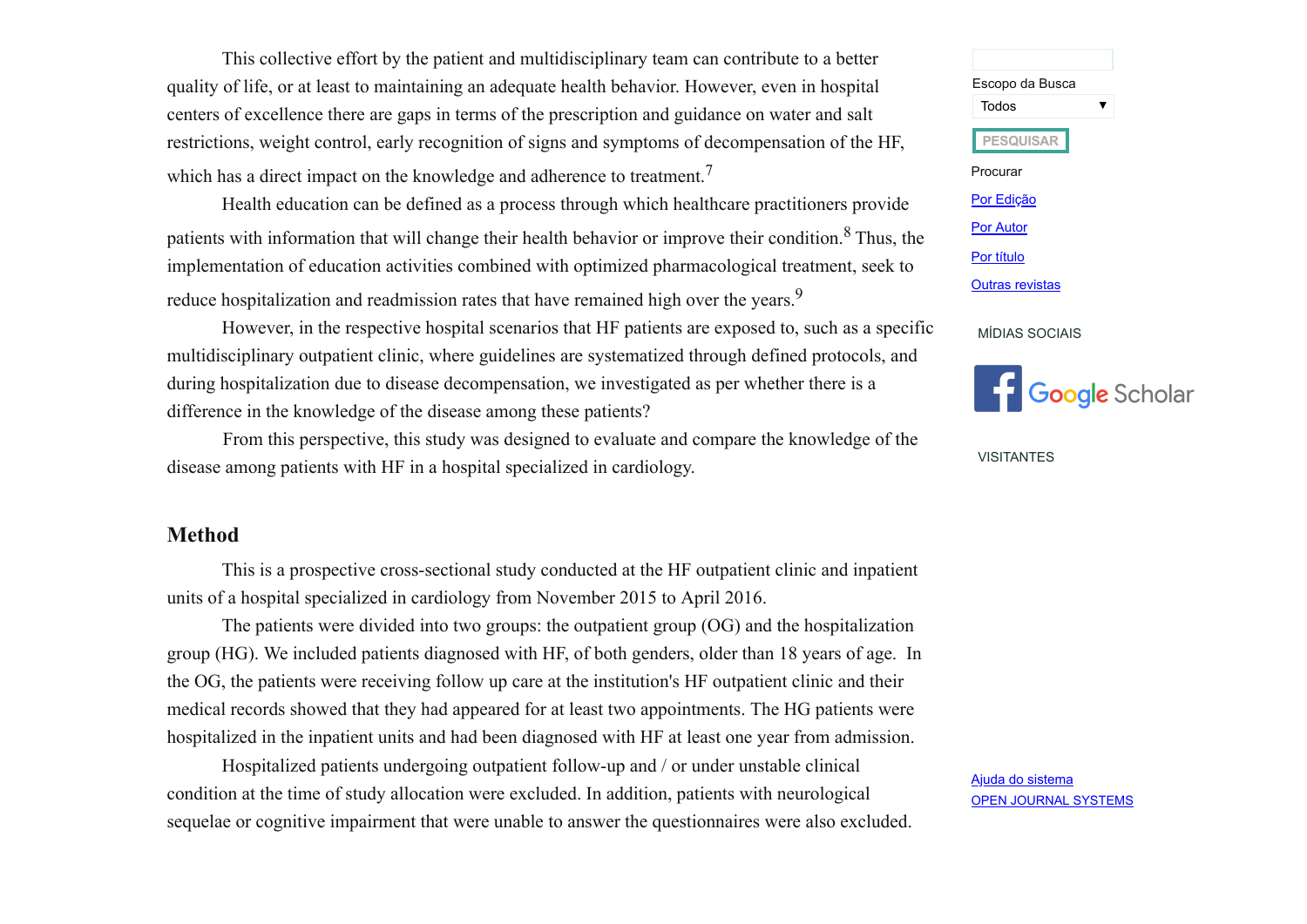This collective effort by the patient and multidisciplinary team can contribute to a better quality of life, or at least to maintaining an adequate health behavior. However, even in hospital centers of excellence there are gaps in terms of the prescription and guidance on water and salt restrictions, weight control, early recognition of signs and symptoms of decompensation of the HF, which has a direct impact on the knowledge and adherence to treatment.<sup>7</sup>

Health education can be defined as a process through which healthcare practitioners provide patients with information that will change their health behavior or improve their condition.<sup>8</sup> Thus, the implementation of education activities combined with optimized pharmacological treatment, seek to reduce hospitalization and readmission rates that have remained high over the years.<sup>9</sup>

However, in the respective hospital scenarios that HF patients are exposed to, such as a specific multidisciplinary outpatient clinic, where guidelines are systematized through defined protocols, and during hospitalization due to disease decompensation, we investigated as per whether there is a difference in the knowledge of the disease among these patients?

 From this perspective, this study was designed to evaluate and compare the knowledge of the disease among patients with HF in a hospital specialized in cardiology.

## **Method**

This is a prospective cross-sectional study conducted at the HF outpatient clinic and inpatient units of a hospital specialized in cardiology from November 2015 to April 2016.

The patients were divided into two groups: the outpatient group (OG) and the hospitalization group (HG). We included patients diagnosed with HF, of both genders, older than 18 years of age. In the OG, the patients were receiving follow up care at the institution's HF outpatient clinic and their medical records showed that they had appeared for at least two appointments. The HG patients were hospitalized in the inpatient units and had been diagnosed with HF at least one year from admission.

Hospitalized patients undergoing outpatient follow-up and / or under unstable clinical condition at the time of study allocation were excluded. In addition, patients with neurological sequelae or cognitive impairment that were unable to answer the questionnaires were also excluded.



MÍDIAS SOCIAIS



VISITANTES

Ajuda do [sistema](javascript:openHelp() OPEN JOURNAL [SYSTEMS](http://pkp.sfu.ca/ojs/)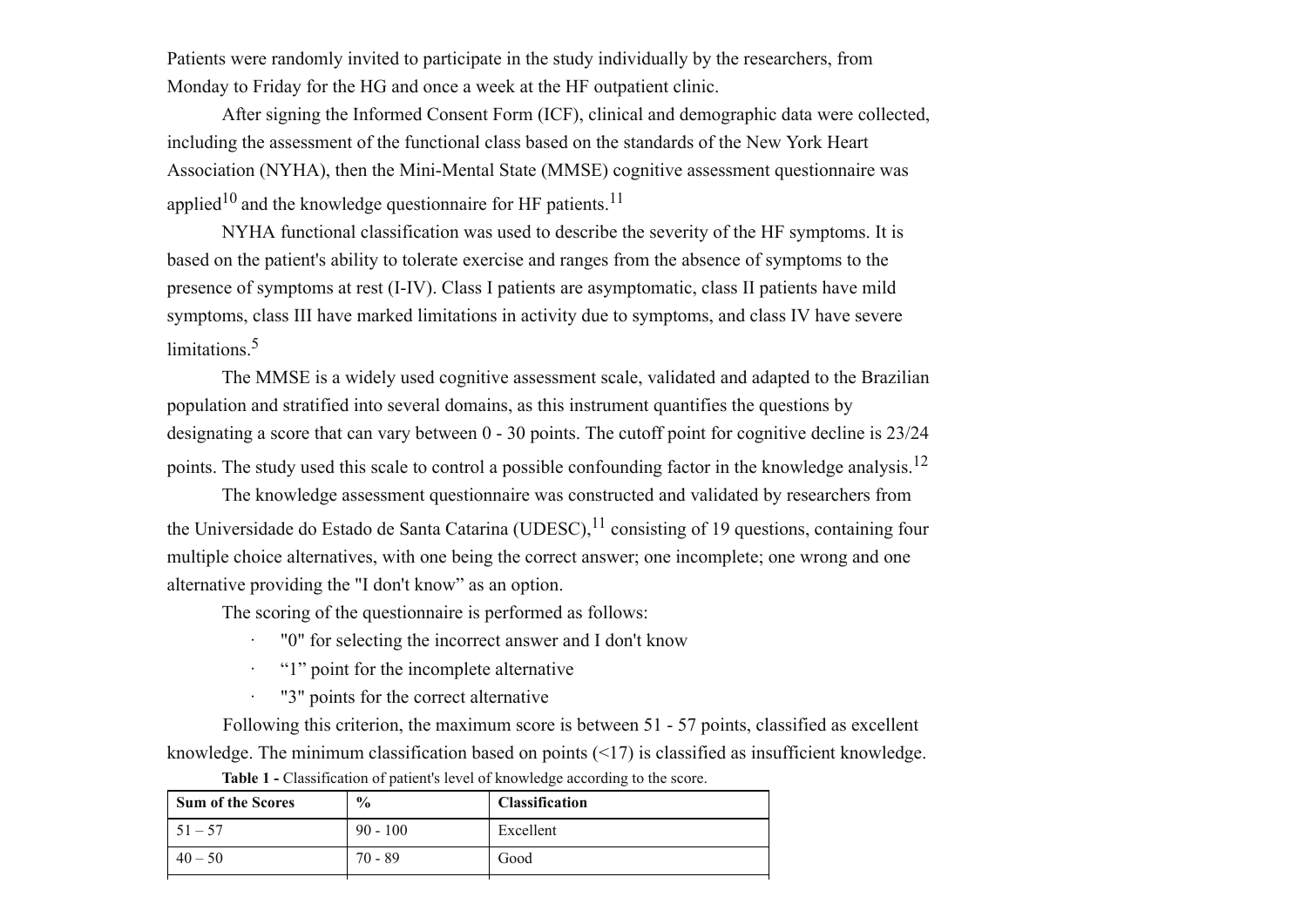Patients were randomly invited to participate in the study individually by the researchers, from Monday to Friday for the HG and once a week at the HF outpatient clinic.

After signing the Informed Consent Form (ICF), clinical and demographic data were collected, including the assessment of the functional class based on the standards of the New York Heart Association (NYHA), then the Mini-Mental State (MMSE) cognitive assessment questionnaire was applied<sup>10</sup> and the knowledge questionnaire for HF patients.<sup>11</sup>

NYHA functional classification was used to describe the severity of the HF symptoms. It is based on the patient's ability to tolerate exercise and ranges from the absence of symptoms to the presence of symptoms at rest (I-IV). Class I patients are asymptomatic, class II patients have mild symptoms, class III have marked limitations in activity due to symptoms, and class IV have severe limitations<sup>5</sup>

The MMSE is a widely used cognitive assessment scale, validated and adapted to the Brazilian population and stratified into several domains, as this instrument quantifies the questions by designating a score that can vary between 0 - 30 points. The cutoff point for cognitive decline is 23/24 points. The study used this scale to control a possible confounding factor in the knowledge analysis.<sup>12</sup>

The knowledge assessment questionnaire was constructed and validated by researchers from the Universidade do Estado de Santa Catarina (UDESC),  $^{11}$  consisting of 19 questions, containing four multiple choice alternatives, with one being the correct answer; one incomplete; one wrong and one alternative providing the "I don't know" as an option.

The scoring of the questionnaire is performed as follows:

- · "0" for selecting the incorrect answer and I don't know
- · "1" point for the incomplete alternative
- · "3" points for the correct alternative

 Following this criterion, the maximum score is between 51 - 57 points, classified as excellent knowledge. The minimum classification based on points (<17) is classified as insufficient knowledge.

| <b>Sum of the Scores</b> | $\frac{6}{9}$ | <b>Classification</b> |
|--------------------------|---------------|-----------------------|
| $51 - 57$                | $90 - 100$    | Excellent             |
| $40 - 50$                | $70 - 89$     | Good                  |

**Table 1 -** Classification of patient's level of knowledge according to the score.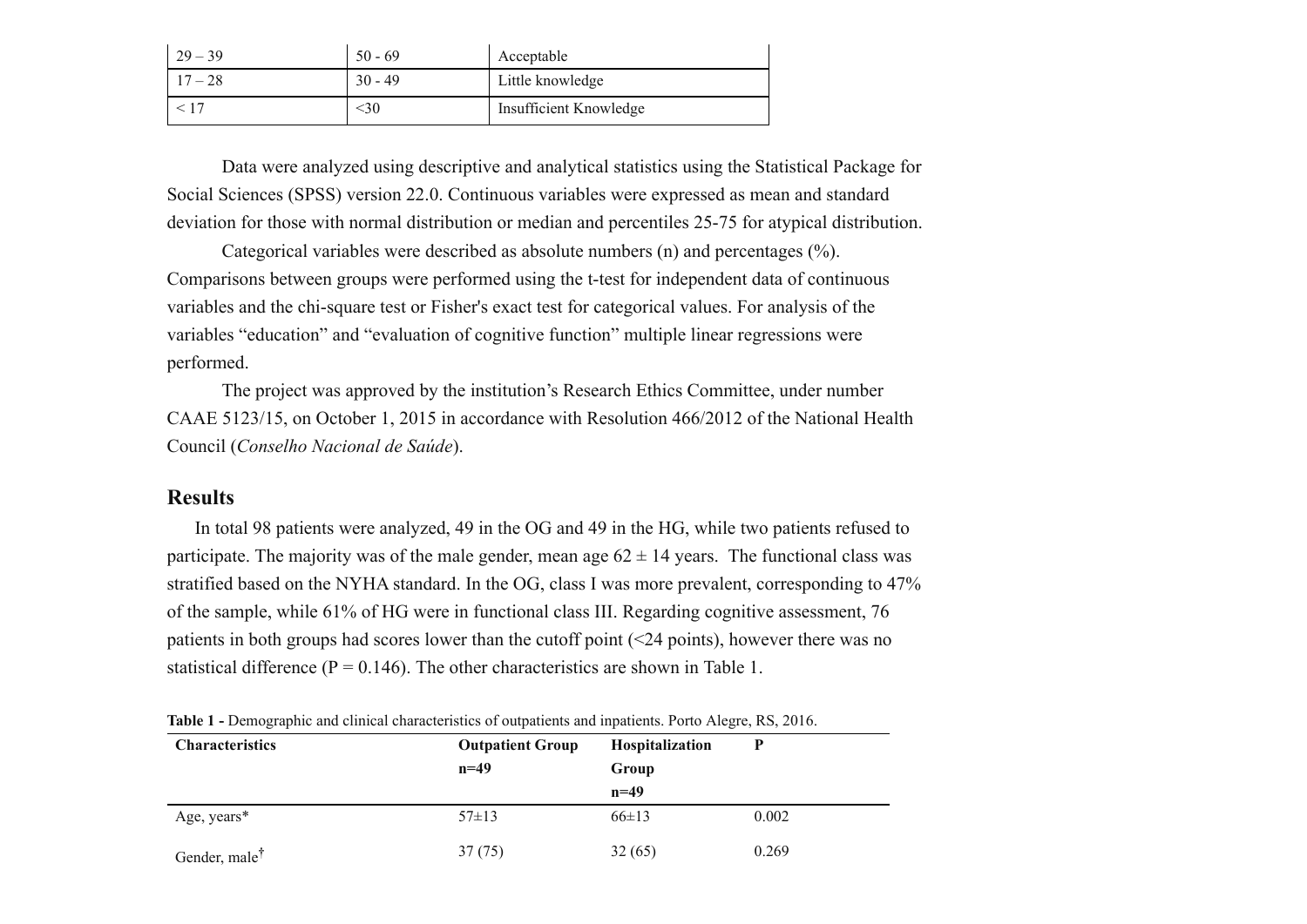| $29 - 39$ | $50 - 69$ | Acceptable             |
|-----------|-----------|------------------------|
| $17 - 28$ | $30 - 49$ | Little knowledge       |
|           | <30       | Insufficient Knowledge |

Data were analyzed using descriptive and analytical statistics using the Statistical Package for Social Sciences (SPSS) version 22.0. Continuous variables were expressed as mean and standard deviation for those with normal distribution or median and percentiles 25-75 for atypical distribution.

Categorical variables were described as absolute numbers (n) and percentages (%). Comparisons between groups were performed using the t-test for independent data of continuous variables and the chi-square test or Fisher's exact test for categorical values. For analysis of the variables "education" and "evaluation of cognitive function" multiple linear regressions were performed.

The project was approved by the institution's Research Ethics Committee, under number CAAE 5123/15, on October 1, 2015 in accordance with Resolution 466/2012 of the National Health Council (*Conselho Nacional de Saúde*).

#### **Results**

 In total 98 patients were analyzed, 49 in the OG and 49 in the HG, while two patients refused to participate. The majority was of the male gender, mean age  $62 \pm 14$  years. The functional class was stratified based on the NYHA standard. In the OG, class I was more prevalent, corresponding to 47% of the sample, while 61% of HG were in functional class III. Regarding cognitive assessment, 76 patients in both groups had scores lower than the cutoff point (<24 points), however there was no statistical difference ( $P = 0.146$ ). The other characteristics are shown in Table 1.

| <b>Characteristics</b>    | <b>THOICE</b> Demographic and emmediated of calpatients and inpartents. I site <i>File</i> , Its, 2010.<br><b>Outpatient Group</b><br>$n=49$ | Hospitalization<br>Group |       |  |
|---------------------------|----------------------------------------------------------------------------------------------------------------------------------------------|--------------------------|-------|--|
|                           |                                                                                                                                              | $n=49$                   |       |  |
| Age, years*               | $57\pm13$                                                                                                                                    | $66 \pm 13$              | 0.002 |  |
| Gender, male <sup>†</sup> | 37(75)                                                                                                                                       | 32(65)                   | 0.269 |  |

**Table 1 -** Demographic and clinical characteristics of outpatients and inpatients. Porto Alegre, RS, 2016.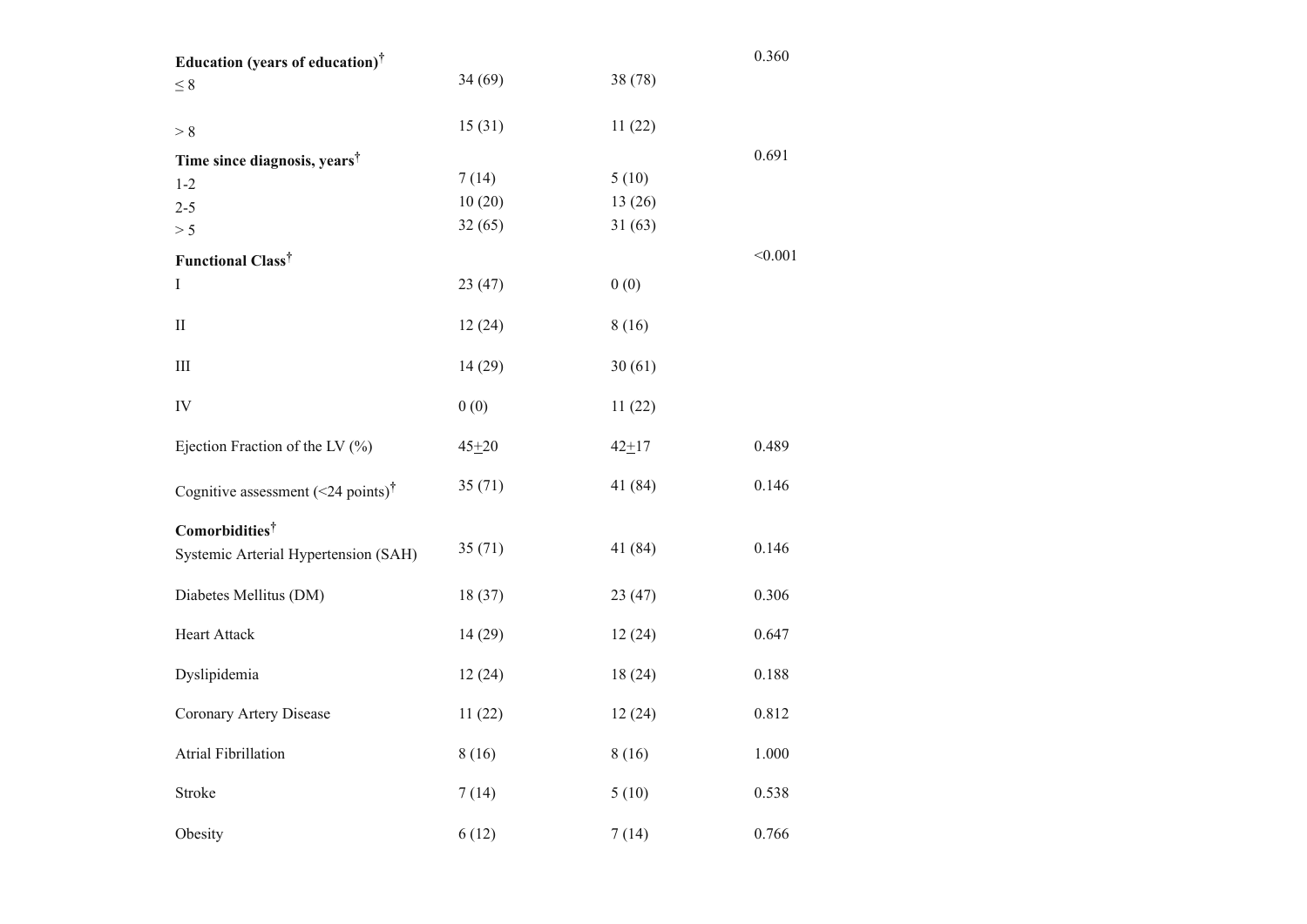| Education (years of education) <sup>†</sup>                        |           |           | 0.360   |
|--------------------------------------------------------------------|-----------|-----------|---------|
| $\leq 8$                                                           | 34(69)    | 38 (78)   |         |
| > 8                                                                | 15(31)    | 11(22)    |         |
| Time since diagnosis, years <sup>†</sup>                           |           |           | 0.691   |
| $1 - 2$                                                            | 7(14)     | 5(10)     |         |
| $2 - 5$                                                            | 10(20)    | 13(26)    |         |
| > 5                                                                | 32(65)    | 31(63)    |         |
| Functional Class <sup>†</sup>                                      |           |           | < 0.001 |
| $\rm I$                                                            | 23(47)    | 0(0)      |         |
| $\mathbf{I}$                                                       | 12(24)    | 8(16)     |         |
| $\mathop{\rm III}\nolimits$                                        | 14(29)    | 30(61)    |         |
| IV                                                                 | 0(0)      | 11(22)    |         |
| Ejection Fraction of the LV $(\%)$                                 | $45 + 20$ | $42 + 17$ | 0.489   |
| Cognitive assessment (<24 points) <sup>†</sup>                     | 35(71)    | 41 (84)   | 0.146   |
| Comorbidities <sup>†</sup><br>Systemic Arterial Hypertension (SAH) | 35(71)    | 41 (84)   | 0.146   |
| Diabetes Mellitus (DM)                                             | 18(37)    | 23(47)    | 0.306   |
| Heart Attack                                                       | 14(29)    | 12(24)    | 0.647   |
| Dyslipidemia                                                       | 12(24)    | 18(24)    | 0.188   |
| Coronary Artery Disease                                            | 11(22)    | 12(24)    | 0.812   |
| <b>Atrial Fibrillation</b>                                         | 8(16)     | 8(16)     | 1.000   |
| Stroke                                                             | 7(14)     | 5(10)     | 0.538   |
| Obesity                                                            | 6(12)     | 7(14)     | 0.766   |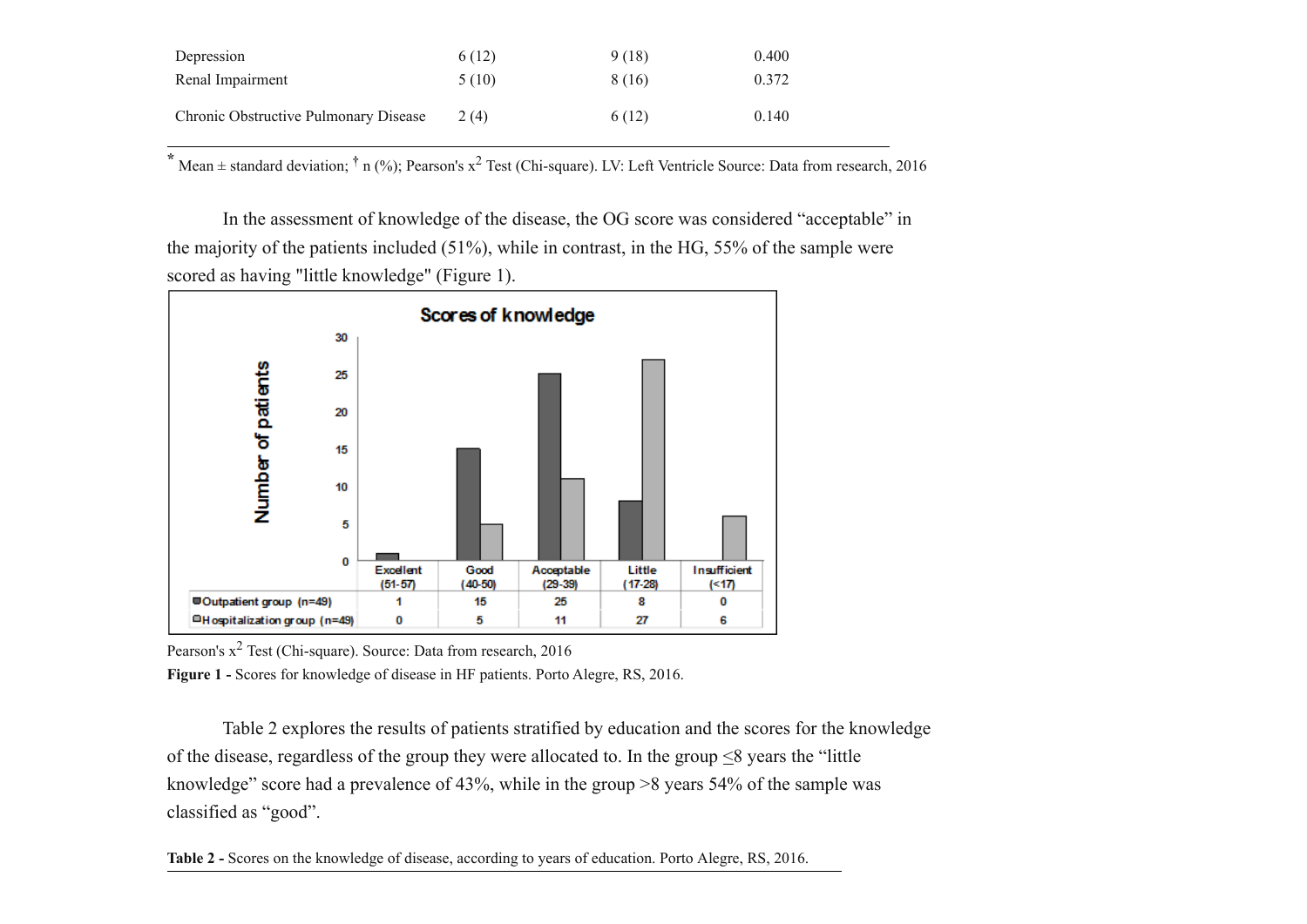| Depression                            | 6(12) | 9(18)  | 0.400 |
|---------------------------------------|-------|--------|-------|
| Renal Impairment                      | 5(10) | 8 (16) | 0.372 |
| Chronic Obstructive Pulmonary Disease | 2(4)  | 6(12)  | 0.140 |

**\*** Mean <sup>±</sup> standard deviation; **†** n (%); Pearson's x <sup>2</sup> Test (Chi-square). LV: Left Ventricle Source: Data from research, 2016

 In the assessment of knowledge of the disease, the OG score was considered "acceptable" in the majority of the patients included (51%), while in contrast, in the HG, 55% of the sample were scored as having "little knowledge" (Figure 1).



Pearson's x<sup>2</sup> Test (Chi-square). Source: Data from research, 2016

**Figure 1 -** Scores for knowledge of disease in HF patients. Porto Alegre, RS, 2016.

 Table 2 explores the results of patients stratified by education and the scores for the knowledge of the disease, regardless of the group they were allocated to. In the group  $\leq 8$  years the "little" knowledge" score had a prevalence of 43%, while in the group >8 years 54% of the sample was classified as "good".

**Table 2 -** Scores on the knowledge of disease, according to years of education. Porto Alegre, RS, 2016.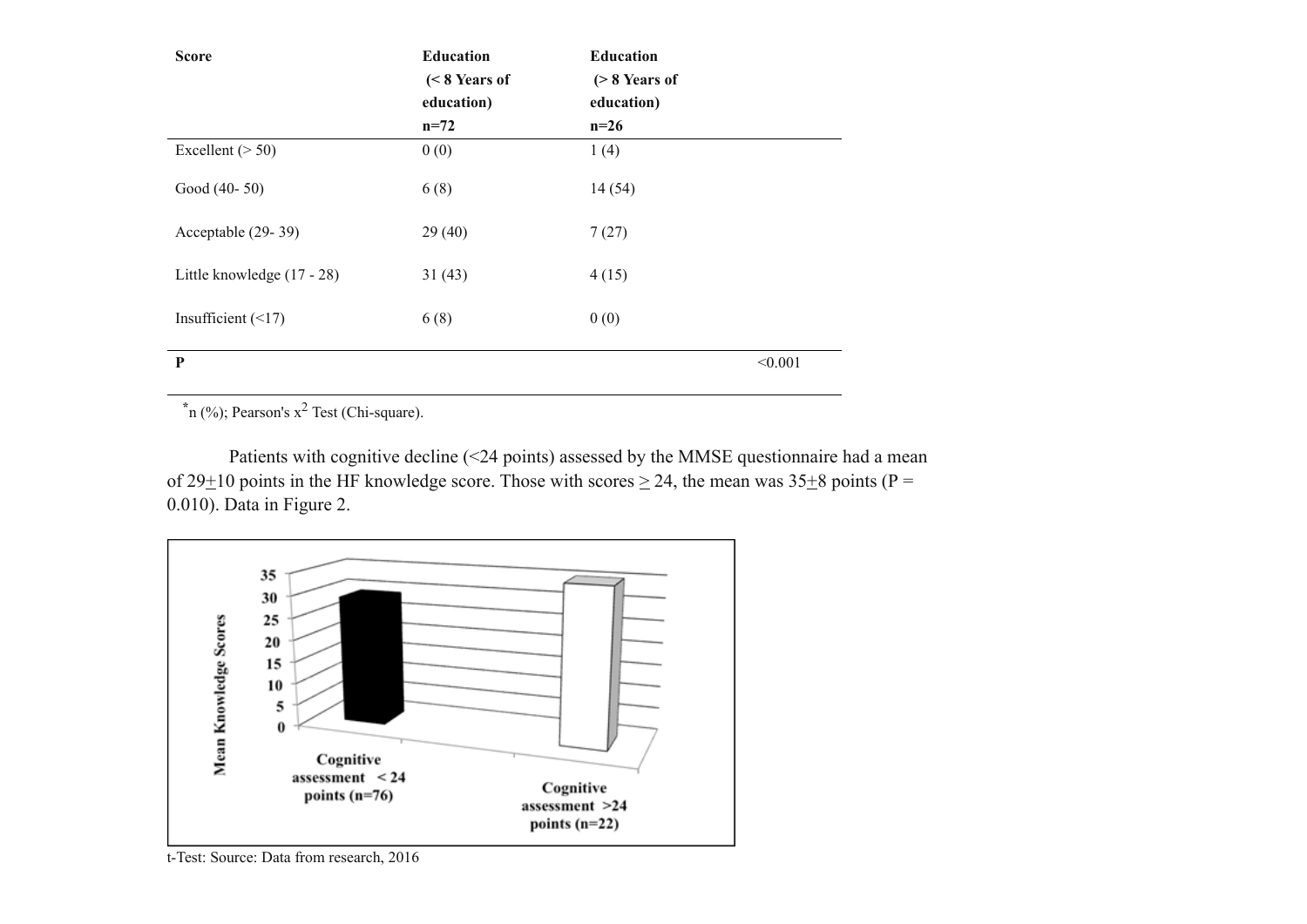| <b>Score</b>               | <b>Education</b><br>$(< 8$ Years of<br>education)<br>$n=72$ | <b>Education</b><br>$($ > 8 Years of<br>education)<br>$n=26$ |         |
|----------------------------|-------------------------------------------------------------|--------------------------------------------------------------|---------|
| Excellent $($ > 50)        | 0(0)                                                        | 1(4)                                                         |         |
| Good (40-50)               | 6(8)                                                        | 14(54)                                                       |         |
| Acceptable (29-39)         | 29(40)                                                      | 7(27)                                                        |         |
| Little knowledge (17 - 28) | 31(43)                                                      | 4(15)                                                        |         |
| Insufficient $(\leq 17)$   | 6(8)                                                        | 0(0)                                                         |         |
| P                          |                                                             |                                                              | < 0.001 |

**\***n (%); Pearson's x <sup>2</sup> Test (Chi-square).

Patients with cognitive decline (<24 points) assessed by the MMSE questionnaire had a mean of 29 $\pm$ 10 points in the HF knowledge score. Those with scores  $\geq$  24, the mean was 35 $\pm$ 8 points (P = 0.010). Data in Figure 2.



t-Test: Source: Data from research, 2016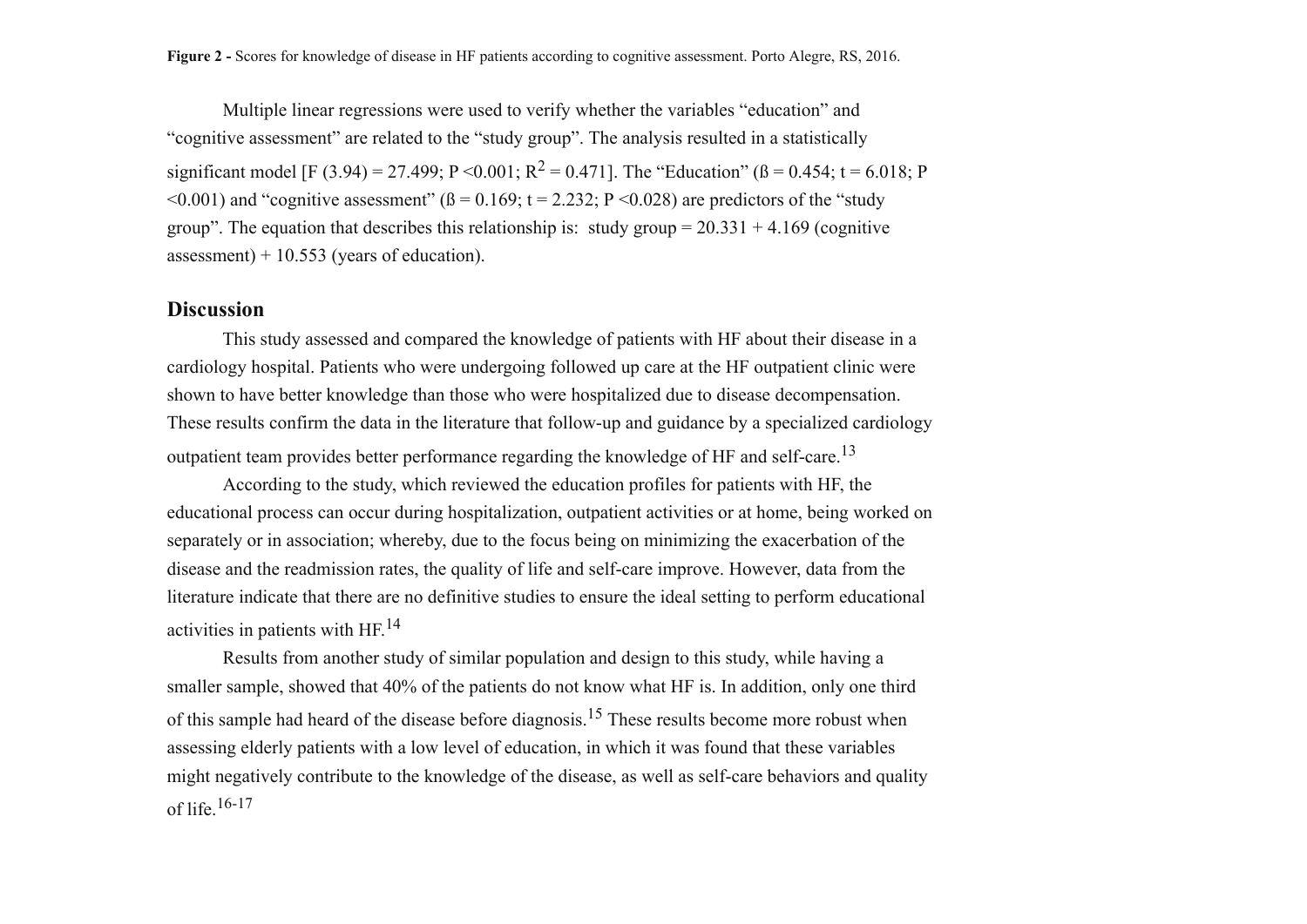Multiple linear regressions were used to verify whether the variables "education" and "cognitive assessment" are related to the "study group". The analysis resulted in a statistically significant model [F (3.94) = 27.499; P < 0.001; R<sup>2</sup> = 0.471]. The "Education" ( $\beta$  = 0.454; t = 6.018; P  $\leq 0.001$ ) and "cognitive assessment" ( $\beta = 0.169$ ; t = 2.232; P  $\leq 0.028$ ) are predictors of the "study" group". The equation that describes this relationship is: study group =  $20.331 + 4.169$  (cognitive assessment)  $+10.553$  (years of education).

### **Discussion**

 This study assessed and compared the knowledge of patients with HF about their disease in a cardiology hospital. Patients who were undergoing followed up care at the HF outpatient clinic were shown to have better knowledge than those who were hospitalized due to disease decompensation. These results confirm the data in the literature that follow-up and guidance by a specialized cardiology outpatient team provides better performance regarding the knowledge of HF and self-care.<sup>13</sup>

 According to the study, which reviewed the education profiles for patients with HF, the educational process can occur during hospitalization, outpatient activities or at home, being worked on separately or in association; whereby, due to the focus being on minimizing the exacerbation of the disease and the readmission rates, the quality of life and self-care improve. However, data from the literature indicate that there are no definitive studies to ensure the ideal setting to perform educational activities in patients with HF.<sup>14</sup>

 Results from another study of similar population and design to this study, while having a smaller sample, showed that 40% of the patients do not know what HF is. In addition, only one third of this sample had heard of the disease before diagnosis.<sup>15</sup> These results become more robust when assessing elderly patients with a low level of education, in which it was found that these variables might negatively contribute to the knowledge of the disease, as well as self-care behaviors and quality of life. $16-17$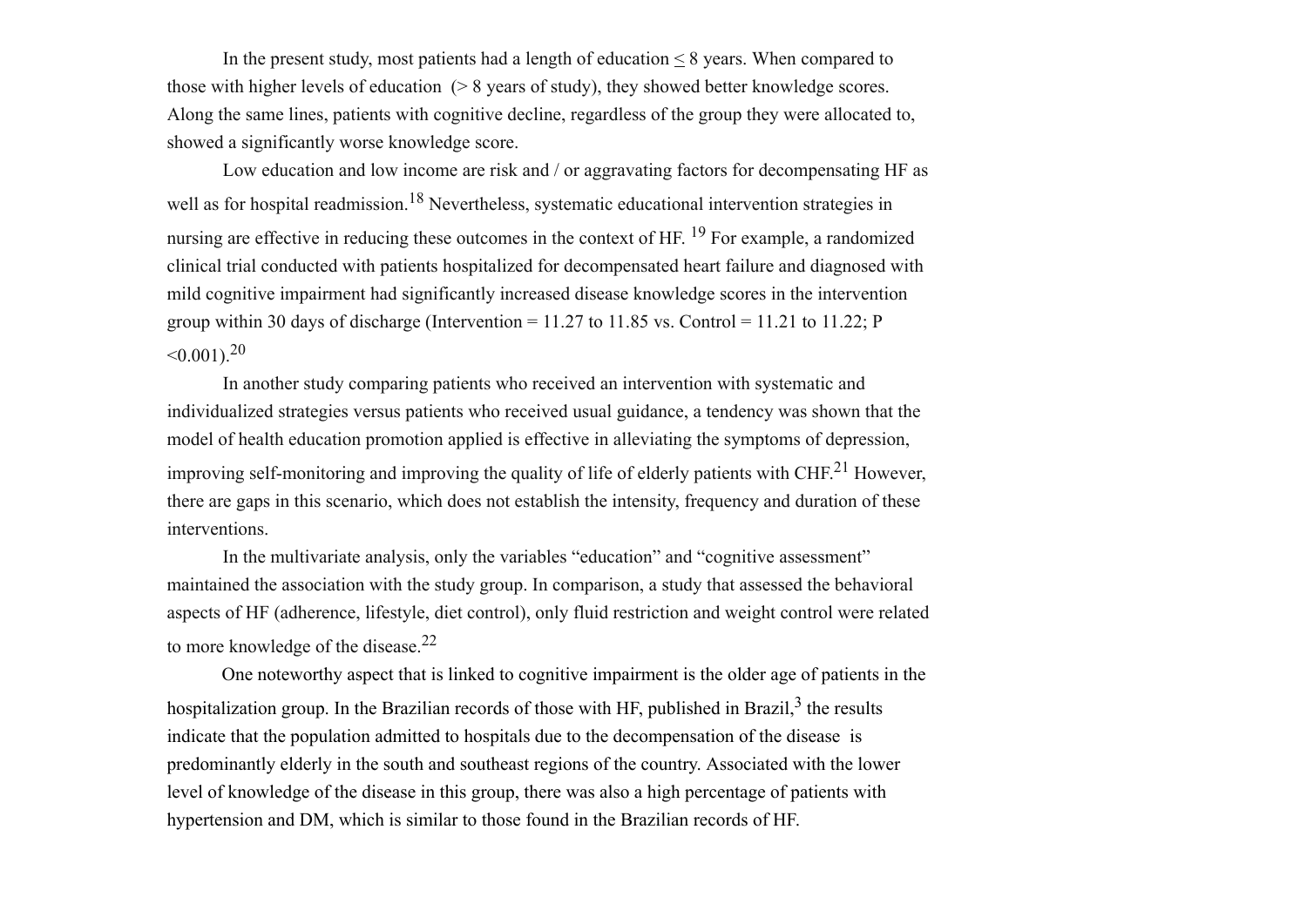In the present study, most patients had a length of education  $\leq 8$  years. When compared to those with higher levels of education (> 8 years of study), they showed better knowledge scores. Along the same lines, patients with cognitive decline, regardless of the group they were allocated to, showed a significantly worse knowledge score.

 Low education and low income are risk and / or aggravating factors for decompensating HF as well as for hospital readmission.<sup>18</sup> Nevertheless, systematic educational intervention strategies in nursing are effective in reducing these outcomes in the context of HF. <sup>19</sup> For example, a randomized clinical trial conducted with patients hospitalized for decompensated heart failure and diagnosed with mild cognitive impairment had significantly increased disease knowledge scores in the intervention group within 30 days of discharge (Intervention =  $11.27$  to  $11.85$  vs. Control =  $11.21$  to  $11.22$ ; P  $\leq 0.001$  20

 In another study comparing patients who received an intervention with systematic and individualized strategies versus patients who received usual guidance, a tendency was shown that the model of health education promotion applied is effective in alleviating the symptoms of depression, improving self-monitoring and improving the quality of life of elderly patients with CHF.<sup>21</sup> However, there are gaps in this scenario, which does not establish the intensity, frequency and duration of these interventions.

 In the multivariate analysis, only the variables "education" and "cognitive assessment" maintained the association with the study group. In comparison, a study that assessed the behavioral aspects of HF (adherence, lifestyle, diet control), only fluid restriction and weight control were related to more knowledge of the disease.<sup>22</sup>

One noteworthy aspect that is linked to cognitive impairment is the older age of patients in the hospitalization group. In the Brazilian records of those with HF, published in Brazil, $3$  the results indicate that the population admitted to hospitals due to the decompensation of the disease is predominantly elderly in the south and southeast regions of the country. Associated with the lower level of knowledge of the disease in this group, there was also a high percentage of patients with hypertension and DM, which is similar to those found in the Brazilian records of HF.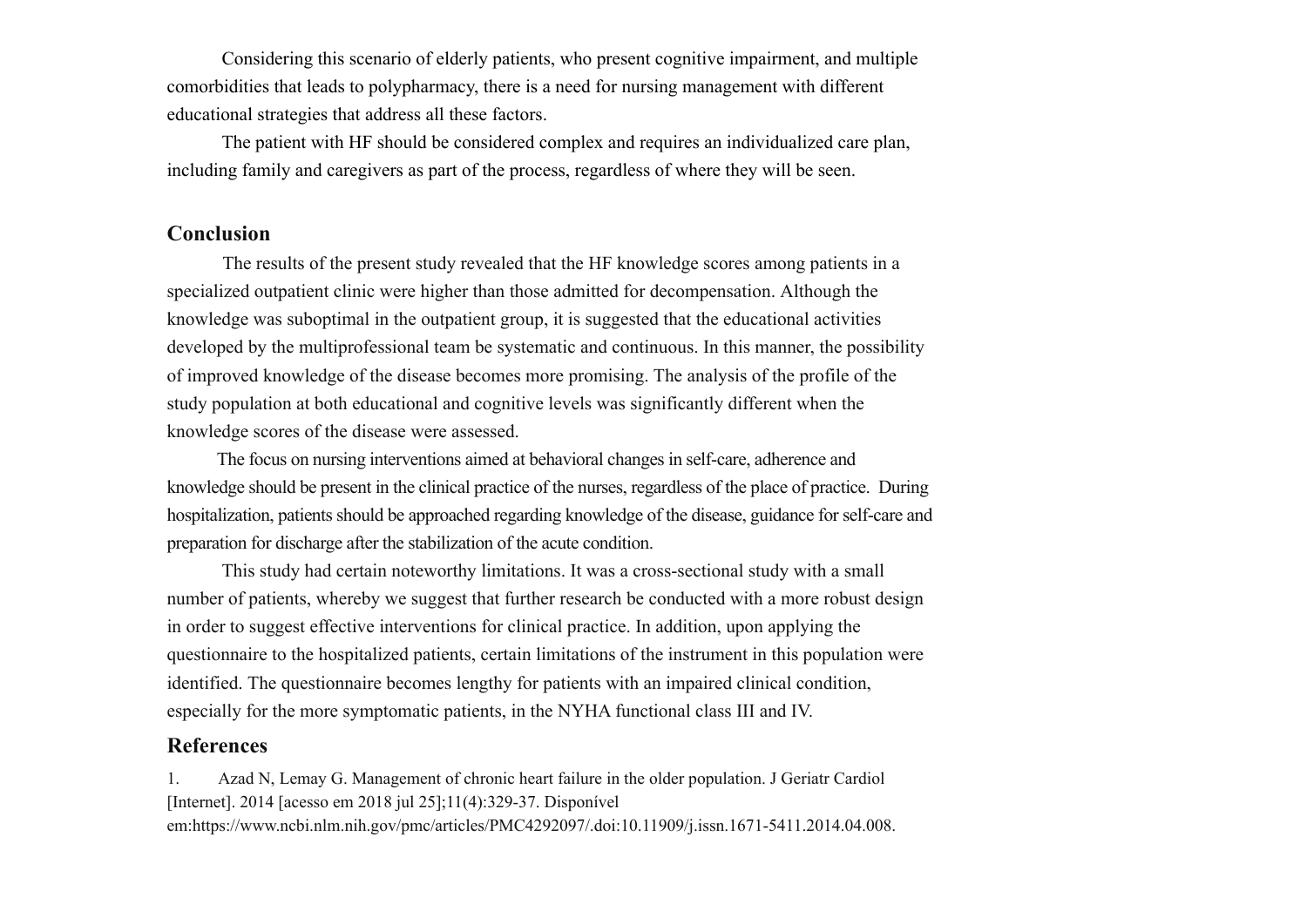Considering this scenario of elderly patients, who present cognitive impairment, and multiple comorbidities that leads to polypharmacy, there is a need for nursing management with different educational strategies that address all these factors.

The patient with HF should be considered complex and requires an individualized care plan, including family and caregivers as part of the process, regardless of where they will be seen.

## **Conclusion**

 The results of the present study revealed that the HF knowledge scores among patients in a specialized outpatient clinic were higher than those admitted for decompensation. Although the knowledge was suboptimal in the outpatient group, it is suggested that the educational activities developed by the multiprofessional team be systematic and continuous. In this manner, the possibility of improved knowledge of the disease becomes more promising. The analysis of the profile of the study population at both educational and cognitive levels was significantly different when the knowledge scores of the disease were assessed.

The focus on nursing interventions aimed at behavioral changes in self-care, adherence and knowledge should be present in the clinical practice of the nurses, regardless of the place of practice. During hospitalization, patients should be approached regarding knowledge of the disease, guidance for self-care and preparation for discharge after the stabilization of the acute condition.

This study had certain noteworthy limitations. It was a cross-sectional study with a small number of patients, whereby we suggest that further research be conducted with a more robust design in order to suggest effective interventions for clinical practice. In addition, upon applying the questionnaire to the hospitalized patients, certain limitations of the instrument in this population were identified. The questionnaire becomes lengthy for patients with an impaired clinical condition, especially for the more symptomatic patients, in the NYHA functional class III and IV.

## **References**

1. Azad N, Lemay G. Management of chronic heart failure in the older population. J Geriatr Cardiol [Internet]. 2014 [acesso em 2018 jul 25];11(4):329-37. Disponível em:https://www.ncbi.nlm.nih.gov/pmc/articles/PMC4292097/.doi:10.11909/j.issn.1671-5411.2014.04.008.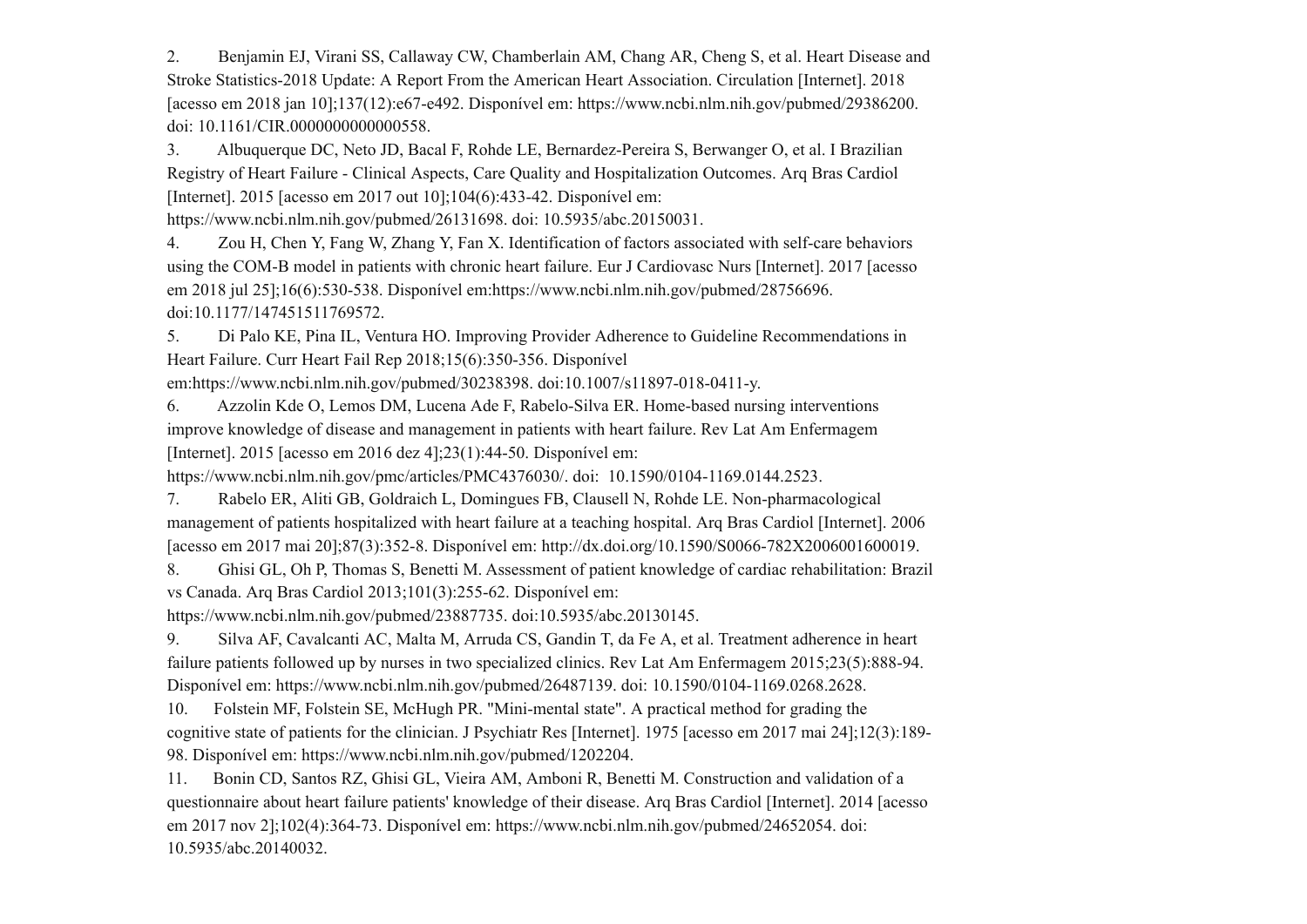2. Benjamin EJ, Virani SS, Callaway CW, Chamberlain AM, Chang AR, Cheng S, et al. Heart Disease and Stroke Statistics-2018 Update: A Report From the American Heart Association. Circulation [Internet]. 2018 [acesso em 2018 jan 10];137(12):e67-e492. Disponível em: https://www.ncbi.nlm.nih.gov/pubmed/29386200. doi: 10.1161/CIR.0000000000000558.

3. Albuquerque DC, Neto JD, Bacal F, Rohde LE, Bernardez-Pereira S, Berwanger O, et al. I Brazilian Registry of Heart Failure - Clinical Aspects, Care Quality and Hospitalization Outcomes. Arq Bras Cardiol [Internet]. 2015 [acesso em 2017 out 10];104(6):433-42. Disponível em:

https://www.ncbi.nlm.nih.gov/pubmed/26131698. doi: 10.5935/abc.20150031.

4. Zou H, Chen Y, Fang W, Zhang Y, Fan X. Identification of factors associated with self-care behaviors using the COM-B model in patients with chronic heart failure. Eur J Cardiovasc Nurs [Internet]. 2017 [acesso em 2018 jul 25];16(6):530-538. Disponível em:https://www.ncbi.nlm.nih.gov/pubmed/28756696. doi:10.1177/147451511769572.

5. Di Palo KE, Pina IL, Ventura HO. Improving Provider Adherence to Guideline Recommendations in Heart Failure. Curr Heart Fail Rep 2018;15(6):350-356. Disponível

em:https://www.ncbi.nlm.nih.gov/pubmed/30238398. doi:10.1007/s11897-018-0411-y.

6. Azzolin Kde O, Lemos DM, Lucena Ade F, Rabelo-Silva ER. Home-based nursing interventions improve knowledge of disease and management in patients with heart failure. Rev Lat Am Enfermagem [Internet]. 2015 [acesso em 2016 dez 4];23(1):44-50. Disponível em:

https://www.ncbi.nlm.nih.gov/pmc/articles/PMC4376030/. doi: 10.1590/0104-1169.0144.2523.

7. Rabelo ER, Aliti GB, Goldraich L, Domingues FB, Clausell N, Rohde LE. Non-pharmacological management of patients hospitalized with heart failure at a teaching hospital. Arq Bras Cardiol [Internet]. 2006 [acesso em 2017 mai 20];87(3):352-8. Disponível em: http://dx.doi.org/10.1590/S0066-782X2006001600019.

8. Ghisi GL, Oh P, Thomas S, Benetti M. Assessment of patient knowledge of cardiac rehabilitation: Brazil vs Canada. Arq Bras Cardiol 2013;101(3):255-62. Disponível em:

https://www.ncbi.nlm.nih.gov/pubmed/23887735. doi:10.5935/abc.20130145.

9. Silva AF, Cavalcanti AC, Malta M, Arruda CS, Gandin T, da Fe A, et al. Treatment adherence in heart failure patients followed up by nurses in two specialized clinics. Rev Lat Am Enfermagem 2015;23(5):888-94. Disponível em: https://www.ncbi.nlm.nih.gov/pubmed/26487139. doi: 10.1590/0104-1169.0268.2628.

10. Folstein MF, Folstein SE, McHugh PR. "Mini-mental state". A practical method for grading the cognitive state of patients for the clinician. J Psychiatr Res [Internet]. 1975 [acesso em 2017 mai 24];12(3):189- 98. Disponível em: https://www.ncbi.nlm.nih.gov/pubmed/1202204.

11. Bonin CD, Santos RZ, Ghisi GL, Vieira AM, Amboni R, Benetti M. Construction and validation of a questionnaire about heart failure patients' knowledge of their disease. Arq Bras Cardiol [Internet]. 2014 [acesso em 2017 nov 2];102(4):364-73. Disponível em: https://www.ncbi.nlm.nih.gov/pubmed/24652054. doi: 10.5935/abc.20140032.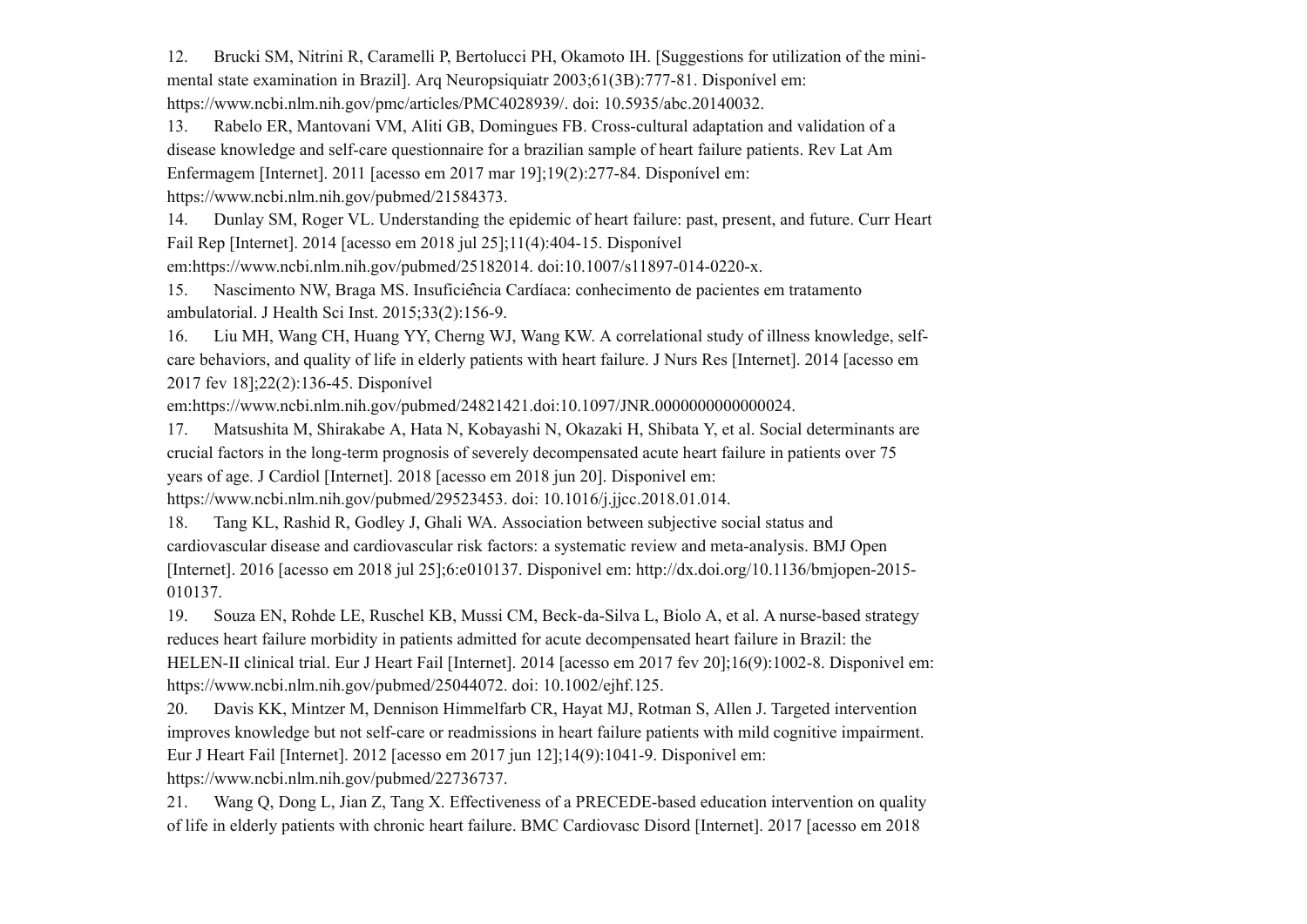12. Brucki SM, Nitrini R, Caramelli P, Bertolucci PH, Okamoto IH. [Suggestions for utilization of the minimental state examination in Brazil]. Arq Neuropsiquiatr 2003;61(3B):777-81. Disponível em: https://www.ncbi.nlm.nih.gov/pmc/articles/PMC4028939/. doi: 10.5935/abc.20140032.

13. Rabelo ER, Mantovani VM, Aliti GB, Domingues FB. Cross-cultural adaptation and validation of a disease knowledge and self-care questionnaire for a brazilian sample of heart failure patients. Rev Lat Am Enfermagem [Internet]. 2011 [acesso em 2017 mar 19];19(2):277-84. Disponível em: https://www.ncbi.nlm.nih.gov/pubmed/21584373.

14. Dunlay SM, Roger VL. Understanding the epidemic of heart failure: past, present, and future. Curr Heart Fail Rep [Internet]. 2014 [acesso em 2018 jul 25];11(4):404-15. Disponível

em:https://www.ncbi.nlm.nih.gov/pubmed/25182014. doi:10.1007/s11897-014-0220-x.

15. Nascimento NW, Braga MS. Insuficiência Cardíaca: conhecimento de pacientes em tratamento ambulatorial. J Health Sci Inst. 2015;33(2):156-9.

16. Liu MH, Wang CH, Huang YY, Cherng WJ, Wang KW. A correlational study of illness knowledge, selfcare behaviors, and quality of life in elderly patients with heart failure. J Nurs Res [Internet]. 2014 [acesso em 2017 fev 18];22(2):136-45. Disponível

em:https://www.ncbi.nlm.nih.gov/pubmed/24821421.doi:10.1097/JNR.0000000000000024.

17. Matsushita M, Shirakabe A, Hata N, Kobayashi N, Okazaki H, Shibata Y, et al. Social determinants are crucial factors in the long-term prognosis of severely decompensated acute heart failure in patients over 75 years of age. J Cardiol [Internet]. 2018 [acesso em 2018 jun 20]. Disponivel em: https://www.ncbi.nlm.nih.gov/pubmed/29523453. doi: 10.1016/j.jjcc.2018.01.014.

18. Tang KL, Rashid R, Godley J, Ghali WA. Association between subjective social status and cardiovascular disease and cardiovascular risk factors: a systematic review and meta-analysis. BMJ Open [Internet]. 2016 [acesso em 2018 jul 25];6:e010137. Disponivel em: http://dx.doi.org/10.1136/bmjopen-2015- 010137.

19. Souza EN, Rohde LE, Ruschel KB, Mussi CM, Beck-da-Silva L, Biolo A, et al. A nurse-based strategy reduces heart failure morbidity in patients admitted for acute decompensated heart failure in Brazil: the HELEN-II clinical trial. Eur J Heart Fail [Internet]. 2014 [acesso em 2017 fev 20];16(9):1002-8. Disponivel em: https://www.ncbi.nlm.nih.gov/pubmed/25044072. doi: 10.1002/ejhf.125.

20. Davis KK, Mintzer M, Dennison Himmelfarb CR, Hayat MJ, Rotman S, Allen J. Targeted intervention improves knowledge but not self-care or readmissions in heart failure patients with mild cognitive impairment. Eur J Heart Fail [Internet]. 2012 [acesso em 2017 jun 12];14(9):1041-9. Disponivel em: https://www.ncbi.nlm.nih.gov/pubmed/22736737.

21. Wang Q, Dong L, Jian Z, Tang X. Effectiveness of a PRECEDE-based education intervention on quality of life in elderly patients with chronic heart failure. BMC Cardiovasc Disord [Internet]. 2017 [acesso em 2018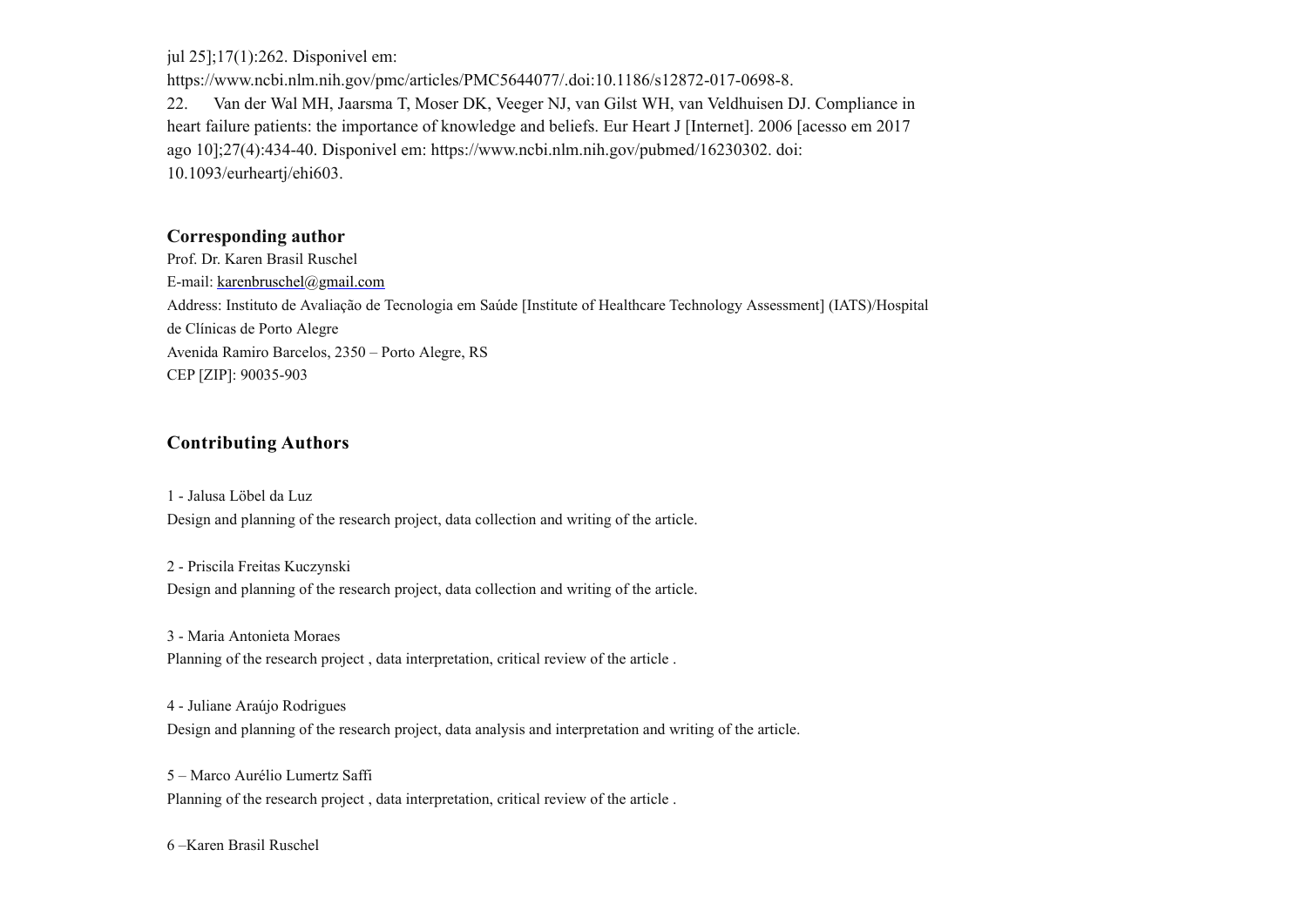jul 25];17(1):262. Disponivel em:

https://www.ncbi.nlm.nih.gov/pmc/articles/PMC5644077/.doi:10.1186/s12872-017-0698-8. 22. Van der Wal MH, Jaarsma T, Moser DK, Veeger NJ, van Gilst WH, van Veldhuisen DJ. Compliance in heart failure patients: the importance of knowledge and beliefs. Eur Heart J [Internet]. 2006 [acesso em 2017 ago 10];27(4):434-40. Disponivel em: https://www.ncbi.nlm.nih.gov/pubmed/16230302. doi: 10.1093/eurheartj/ehi603.

#### **Corresponding author**

Prof. Dr. Karen Brasil Ruschel E-mail: [karenbruschel@gmail.com](mailto:karenbruschel@gmail.com) Address: Instituto de Avaliação de Tecnologia em Saúde [Institute of Healthcare Technology Assessment] (IATS)/Hospital de Clínicas de Porto Alegre Avenida Ramiro Barcelos, 2350 – Porto Alegre, RS CEP [ZIP]: 90035-903

## **Contributing Authors**

1 - Jalusa Löbel da Luz Design and planning of the research project, data collection and writing of the article.

2 - Priscila Freitas Kuczynski Design and planning of the research project, data collection and writing of the article.

3 - Maria Antonieta Moraes

Planning of the research project , data interpretation, critical review of the article .

4 - Juliane Araújo Rodrigues

Design and planning of the research project, data analysis and interpretation and writing of the article.

5 – Marco Aurélio Lumertz Saffi Planning of the research project , data interpretation, critical review of the article .

6 –Karen Brasil Ruschel